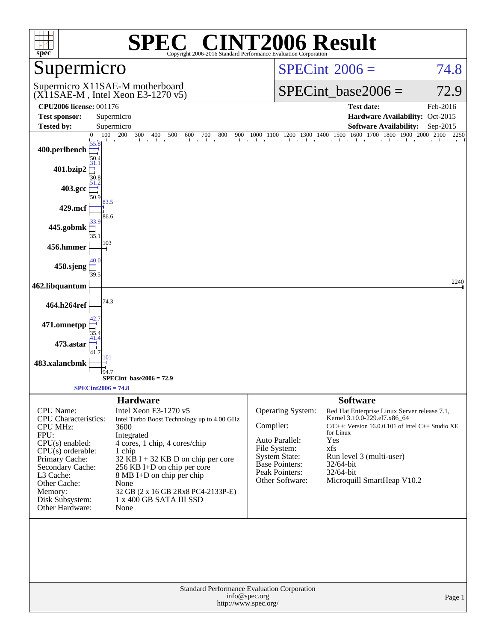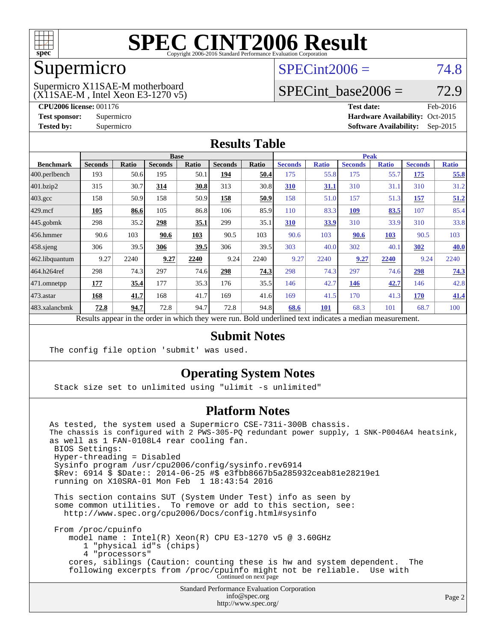

### Supermicro

## $SPECint2006 = 74.8$  $SPECint2006 = 74.8$

(X11SAE-M , Intel Xeon E3-1270 v5) Supermicro X11SAE-M motherboard

SPECint base2006 =  $72.9$ 

**[CPU2006 license:](http://www.spec.org/auto/cpu2006/Docs/result-fields.html#CPU2006license)** 001176 **[Test date:](http://www.spec.org/auto/cpu2006/Docs/result-fields.html#Testdate)** Feb-2016 **[Test sponsor:](http://www.spec.org/auto/cpu2006/Docs/result-fields.html#Testsponsor)** Supermicro Supermicro **[Hardware Availability:](http://www.spec.org/auto/cpu2006/Docs/result-fields.html#HardwareAvailability)** Oct-2015 **[Tested by:](http://www.spec.org/auto/cpu2006/Docs/result-fields.html#Testedby)** Supermicro **Supermicro [Software Availability:](http://www.spec.org/auto/cpu2006/Docs/result-fields.html#SoftwareAvailability)** Sep-2015

### **[Results Table](http://www.spec.org/auto/cpu2006/Docs/result-fields.html#ResultsTable)**

|                                                                                                          | <b>Base</b>    |              |                |       |                | <b>Peak</b> |                |              |                |              |                |              |
|----------------------------------------------------------------------------------------------------------|----------------|--------------|----------------|-------|----------------|-------------|----------------|--------------|----------------|--------------|----------------|--------------|
| <b>Benchmark</b>                                                                                         | <b>Seconds</b> | <b>Ratio</b> | <b>Seconds</b> | Ratio | <b>Seconds</b> | Ratio       | <b>Seconds</b> | <b>Ratio</b> | <b>Seconds</b> | <b>Ratio</b> | <b>Seconds</b> | <b>Ratio</b> |
| 400.perlbench                                                                                            | 193            | 50.6         | 195            | 50.1  | 194            | 50.4        | 175            | 55.8         | 175            | 55.7         | 175            | 55.8         |
| 401.bzip2                                                                                                | 315            | 30.7         | 314            | 30.8  | 313            | 30.8        | 310            | 31.1         | 310            | 31.1         | 310            | 31.2         |
| $403.\text{gcc}$                                                                                         | 158            | 50.9         | 158            | 50.9  | 158            | 50.9        | 158            | 51.0         | 157            | 51.3         | 157            | 51.2         |
| $429$ .mcf                                                                                               | 105            | 86.6         | 105            | 86.8  | 106            | 85.9        | 110            | 83.3         | 109            | 83.5         | 107            | 85.4         |
| $445$ .gobmk                                                                                             | 298            | 35.2         | 298            | 35.1  | 299            | 35.1        | 310            | 33.9         | 310            | 33.9         | 310            | 33.8         |
| $456.$ hmmer                                                                                             | 90.6           | 103          | 90.6           | 103   | 90.5           | 103         | 90.6           | 103          | 90.6           | 103          | 90.5           | 103          |
| $458$ .sjeng                                                                                             | 306            | 39.5         | 306            | 39.5  | 306            | 39.5        | 303            | 40.0         | 302            | 40.1         | 302            | 40.0         |
| 462.libquantum                                                                                           | 9.27           | 2240         | 9.27           | 2240  | 9.24           | 2240        | 9.27           | 2240         | 9.27           | 2240         | 9.24           | 2240         |
| 464.h264ref                                                                                              | 298            | 74.3         | 297            | 74.6  | 298            | 74.3        | 298            | 74.3         | 297            | 74.6         | 298            | 74.3         |
| 471.omnetpp                                                                                              | 177            | 35.4         | 177            | 35.3  | 176            | 35.5        | 146            | 42.7         | 146            | 42.7         | 146            | 42.8         |
| $473.$ astar                                                                                             | 168            | 41.7         | 168            | 41.7  | 169            | 41.6        | 169            | 41.5         | 170            | 41.3         | 170            | 41.4         |
| 483.xalancbmk                                                                                            | 72.8           | 94.7         | 72.8           | 94.7  | 72.8           | 94.8        | 68.6           | 101          | 68.3           | 101          | 68.7           | 100          |
| Results appear in the order in which they were run. Bold underlined text indicates a median measurement. |                |              |                |       |                |             |                |              |                |              |                |              |

### **[Submit Notes](http://www.spec.org/auto/cpu2006/Docs/result-fields.html#SubmitNotes)**

The config file option 'submit' was used.

### **[Operating System Notes](http://www.spec.org/auto/cpu2006/Docs/result-fields.html#OperatingSystemNotes)**

Stack size set to unlimited using "ulimit -s unlimited"

### **[Platform Notes](http://www.spec.org/auto/cpu2006/Docs/result-fields.html#PlatformNotes)**

Standard Performance Evaluation Corporation As tested, the system used a Supermicro CSE-731i-300B chassis. The chassis is configured with 2 PWS-305-PQ redundant power supply, 1 SNK-P0046A4 heatsink, as well as 1 FAN-0108L4 rear cooling fan. BIOS Settings: Hyper-threading = Disabled Sysinfo program /usr/cpu2006/config/sysinfo.rev6914 \$Rev: 6914 \$ \$Date:: 2014-06-25 #\$ e3fbb8667b5a285932ceab81e28219e1 running on X10SRA-01 Mon Feb 1 18:43:54 2016 This section contains SUT (System Under Test) info as seen by some common utilities. To remove or add to this section, see: <http://www.spec.org/cpu2006/Docs/config.html#sysinfo> From /proc/cpuinfo model name : Intel(R) Xeon(R) CPU E3-1270 v5 @ 3.60GHz 1 "physical id"s (chips) 4 "processors" cores, siblings (Caution: counting these is hw and system dependent. The following excerpts from /proc/cpuinfo might not be reliable. Use with Continued on next page

[info@spec.org](mailto:info@spec.org) <http://www.spec.org/>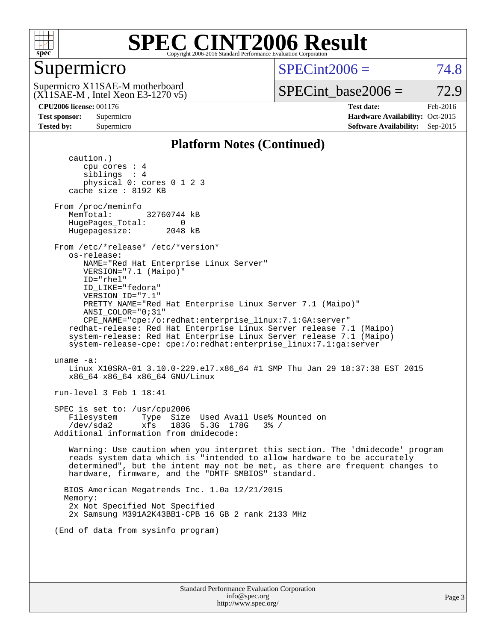

### Supermicro

 $SPECint2006 = 74.8$  $SPECint2006 = 74.8$ 

(X11SAE-M , Intel Xeon E3-1270 v5) Supermicro X11SAE-M motherboard

SPECint base2006 =  $72.9$ 

**[CPU2006 license:](http://www.spec.org/auto/cpu2006/Docs/result-fields.html#CPU2006license)** 001176 **[Test date:](http://www.spec.org/auto/cpu2006/Docs/result-fields.html#Testdate)** Feb-2016 **[Test sponsor:](http://www.spec.org/auto/cpu2006/Docs/result-fields.html#Testsponsor)** Supermicro Supermicro **[Hardware Availability:](http://www.spec.org/auto/cpu2006/Docs/result-fields.html#HardwareAvailability)** Oct-2015 **[Tested by:](http://www.spec.org/auto/cpu2006/Docs/result-fields.html#Testedby)** Supermicro **Supermicro [Software Availability:](http://www.spec.org/auto/cpu2006/Docs/result-fields.html#SoftwareAvailability)** Sep-2015

### **[Platform Notes \(Continued\)](http://www.spec.org/auto/cpu2006/Docs/result-fields.html#PlatformNotes)**

 caution.) cpu cores : 4 siblings : 4 physical 0: cores 0 1 2 3 cache size : 8192 KB From /proc/meminfo MemTotal: 32760744 kB HugePages\_Total: 0<br>Hugepagesize: 2048 kB Hugepagesize: From /etc/\*release\* /etc/\*version\* os-release: NAME="Red Hat Enterprise Linux Server" VERSION="7.1 (Maipo)" ID="rhel" ID\_LIKE="fedora" VERSION\_ID="7.1" PRETTY\_NAME="Red Hat Enterprise Linux Server 7.1 (Maipo)" ANSI\_COLOR="0;31" CPE\_NAME="cpe:/o:redhat:enterprise\_linux:7.1:GA:server" redhat-release: Red Hat Enterprise Linux Server release 7.1 (Maipo) system-release: Red Hat Enterprise Linux Server release 7.1 (Maipo) system-release-cpe: cpe:/o:redhat:enterprise\_linux:7.1:ga:server uname -a: Linux X10SRA-01 3.10.0-229.el7.x86\_64 #1 SMP Thu Jan 29 18:37:38 EST 2015 x86\_64 x86\_64 x86\_64 GNU/Linux run-level 3 Feb 1 18:41 SPEC is set to: /usr/cpu2006 Filesystem Type Size Used Avail Use% Mounted on /dev/sda2 xfs 183G 5.3G 178G 3% / Additional information from dmidecode: Warning: Use caution when you interpret this section. The 'dmidecode' program reads system data which is "intended to allow hardware to be accurately determined", but the intent may not be met, as there are frequent changes to hardware, firmware, and the "DMTF SMBIOS" standard. BIOS American Megatrends Inc. 1.0a 12/21/2015 Memory: 2x Not Specified Not Specified 2x Samsung M391A2K43BB1-CPB 16 GB 2 rank 2133 MHz (End of data from sysinfo program)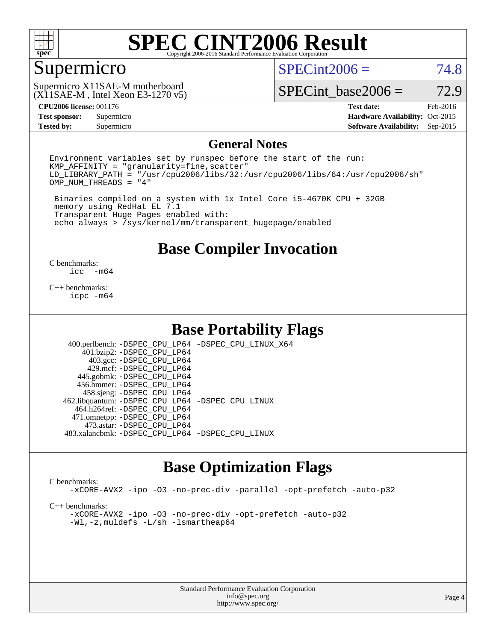

### Supermicro

 $SPECint2006 = 74.8$  $SPECint2006 = 74.8$ 

(X11SAE-M , Intel Xeon E3-1270 v5) Supermicro X11SAE-M motherboard

SPECint base2006 =  $72.9$ 

**[Tested by:](http://www.spec.org/auto/cpu2006/Docs/result-fields.html#Testedby)** Supermicro **Supermicro [Software Availability:](http://www.spec.org/auto/cpu2006/Docs/result-fields.html#SoftwareAvailability)** Sep-2015

**[CPU2006 license:](http://www.spec.org/auto/cpu2006/Docs/result-fields.html#CPU2006license)** 001176 **[Test date:](http://www.spec.org/auto/cpu2006/Docs/result-fields.html#Testdate)** Feb-2016 **[Test sponsor:](http://www.spec.org/auto/cpu2006/Docs/result-fields.html#Testsponsor)** Supermicro Supermicro **[Hardware Availability:](http://www.spec.org/auto/cpu2006/Docs/result-fields.html#HardwareAvailability)** Oct-2015

### **[General Notes](http://www.spec.org/auto/cpu2006/Docs/result-fields.html#GeneralNotes)**

Environment variables set by runspec before the start of the run:  $KMP$  AFFINITY = "granularity=fine, scatter" LD\_LIBRARY\_PATH = "/usr/cpu2006/libs/32:/usr/cpu2006/libs/64:/usr/cpu2006/sh" OMP\_NUM\_THREADS = "4"

 Binaries compiled on a system with 1x Intel Core i5-4670K CPU + 32GB memory using RedHat EL 7.1 Transparent Huge Pages enabled with: echo always > /sys/kernel/mm/transparent\_hugepage/enabled

**[Base Compiler Invocation](http://www.spec.org/auto/cpu2006/Docs/result-fields.html#BaseCompilerInvocation)**

 $\frac{C \text{ benchmarks:}}{C \text{ C}}$ -m64

[C++ benchmarks:](http://www.spec.org/auto/cpu2006/Docs/result-fields.html#CXXbenchmarks) [icpc -m64](http://www.spec.org/cpu2006/results/res2016q1/cpu2006-20160206-38983.flags.html#user_CXXbase_intel_icpc_64bit_fc66a5337ce925472a5c54ad6a0de310)

### **[Base Portability Flags](http://www.spec.org/auto/cpu2006/Docs/result-fields.html#BasePortabilityFlags)**

 400.perlbench: [-DSPEC\\_CPU\\_LP64](http://www.spec.org/cpu2006/results/res2016q1/cpu2006-20160206-38983.flags.html#b400.perlbench_basePORTABILITY_DSPEC_CPU_LP64) [-DSPEC\\_CPU\\_LINUX\\_X64](http://www.spec.org/cpu2006/results/res2016q1/cpu2006-20160206-38983.flags.html#b400.perlbench_baseCPORTABILITY_DSPEC_CPU_LINUX_X64) 401.bzip2: [-DSPEC\\_CPU\\_LP64](http://www.spec.org/cpu2006/results/res2016q1/cpu2006-20160206-38983.flags.html#suite_basePORTABILITY401_bzip2_DSPEC_CPU_LP64) 403.gcc: [-DSPEC\\_CPU\\_LP64](http://www.spec.org/cpu2006/results/res2016q1/cpu2006-20160206-38983.flags.html#suite_basePORTABILITY403_gcc_DSPEC_CPU_LP64) 429.mcf: [-DSPEC\\_CPU\\_LP64](http://www.spec.org/cpu2006/results/res2016q1/cpu2006-20160206-38983.flags.html#suite_basePORTABILITY429_mcf_DSPEC_CPU_LP64) 445.gobmk: [-DSPEC\\_CPU\\_LP64](http://www.spec.org/cpu2006/results/res2016q1/cpu2006-20160206-38983.flags.html#suite_basePORTABILITY445_gobmk_DSPEC_CPU_LP64) 456.hmmer: [-DSPEC\\_CPU\\_LP64](http://www.spec.org/cpu2006/results/res2016q1/cpu2006-20160206-38983.flags.html#suite_basePORTABILITY456_hmmer_DSPEC_CPU_LP64) 458.sjeng: [-DSPEC\\_CPU\\_LP64](http://www.spec.org/cpu2006/results/res2016q1/cpu2006-20160206-38983.flags.html#suite_basePORTABILITY458_sjeng_DSPEC_CPU_LP64) 462.libquantum: [-DSPEC\\_CPU\\_LP64](http://www.spec.org/cpu2006/results/res2016q1/cpu2006-20160206-38983.flags.html#suite_basePORTABILITY462_libquantum_DSPEC_CPU_LP64) [-DSPEC\\_CPU\\_LINUX](http://www.spec.org/cpu2006/results/res2016q1/cpu2006-20160206-38983.flags.html#b462.libquantum_baseCPORTABILITY_DSPEC_CPU_LINUX) 464.h264ref: [-DSPEC\\_CPU\\_LP64](http://www.spec.org/cpu2006/results/res2016q1/cpu2006-20160206-38983.flags.html#suite_basePORTABILITY464_h264ref_DSPEC_CPU_LP64) 471.omnetpp: [-DSPEC\\_CPU\\_LP64](http://www.spec.org/cpu2006/results/res2016q1/cpu2006-20160206-38983.flags.html#suite_basePORTABILITY471_omnetpp_DSPEC_CPU_LP64) 473.astar: [-DSPEC\\_CPU\\_LP64](http://www.spec.org/cpu2006/results/res2016q1/cpu2006-20160206-38983.flags.html#suite_basePORTABILITY473_astar_DSPEC_CPU_LP64) 483.xalancbmk: [-DSPEC\\_CPU\\_LP64](http://www.spec.org/cpu2006/results/res2016q1/cpu2006-20160206-38983.flags.html#suite_basePORTABILITY483_xalancbmk_DSPEC_CPU_LP64) [-DSPEC\\_CPU\\_LINUX](http://www.spec.org/cpu2006/results/res2016q1/cpu2006-20160206-38983.flags.html#b483.xalancbmk_baseCXXPORTABILITY_DSPEC_CPU_LINUX)

### **[Base Optimization Flags](http://www.spec.org/auto/cpu2006/Docs/result-fields.html#BaseOptimizationFlags)**

### [C benchmarks](http://www.spec.org/auto/cpu2006/Docs/result-fields.html#Cbenchmarks):

[-xCORE-AVX2](http://www.spec.org/cpu2006/results/res2016q1/cpu2006-20160206-38983.flags.html#user_CCbase_f-xAVX2_5f5fc0cbe2c9f62c816d3e45806c70d7) [-ipo](http://www.spec.org/cpu2006/results/res2016q1/cpu2006-20160206-38983.flags.html#user_CCbase_f-ipo) [-O3](http://www.spec.org/cpu2006/results/res2016q1/cpu2006-20160206-38983.flags.html#user_CCbase_f-O3) [-no-prec-div](http://www.spec.org/cpu2006/results/res2016q1/cpu2006-20160206-38983.flags.html#user_CCbase_f-no-prec-div) [-parallel](http://www.spec.org/cpu2006/results/res2016q1/cpu2006-20160206-38983.flags.html#user_CCbase_f-parallel) [-opt-prefetch](http://www.spec.org/cpu2006/results/res2016q1/cpu2006-20160206-38983.flags.html#user_CCbase_f-opt-prefetch) [-auto-p32](http://www.spec.org/cpu2006/results/res2016q1/cpu2006-20160206-38983.flags.html#user_CCbase_f-auto-p32)

[C++ benchmarks:](http://www.spec.org/auto/cpu2006/Docs/result-fields.html#CXXbenchmarks)

[-xCORE-AVX2](http://www.spec.org/cpu2006/results/res2016q1/cpu2006-20160206-38983.flags.html#user_CXXbase_f-xAVX2_5f5fc0cbe2c9f62c816d3e45806c70d7) [-ipo](http://www.spec.org/cpu2006/results/res2016q1/cpu2006-20160206-38983.flags.html#user_CXXbase_f-ipo) [-O3](http://www.spec.org/cpu2006/results/res2016q1/cpu2006-20160206-38983.flags.html#user_CXXbase_f-O3) [-no-prec-div](http://www.spec.org/cpu2006/results/res2016q1/cpu2006-20160206-38983.flags.html#user_CXXbase_f-no-prec-div) [-opt-prefetch](http://www.spec.org/cpu2006/results/res2016q1/cpu2006-20160206-38983.flags.html#user_CXXbase_f-opt-prefetch) [-auto-p32](http://www.spec.org/cpu2006/results/res2016q1/cpu2006-20160206-38983.flags.html#user_CXXbase_f-auto-p32) [-Wl,-z,muldefs](http://www.spec.org/cpu2006/results/res2016q1/cpu2006-20160206-38983.flags.html#user_CXXbase_link_force_multiple1_74079c344b956b9658436fd1b6dd3a8a) [-L/sh -lsmartheap64](http://www.spec.org/cpu2006/results/res2016q1/cpu2006-20160206-38983.flags.html#user_CXXbase_SmartHeap64_ed4ef857ce90951921efb0d91eb88472)

> Standard Performance Evaluation Corporation [info@spec.org](mailto:info@spec.org) <http://www.spec.org/>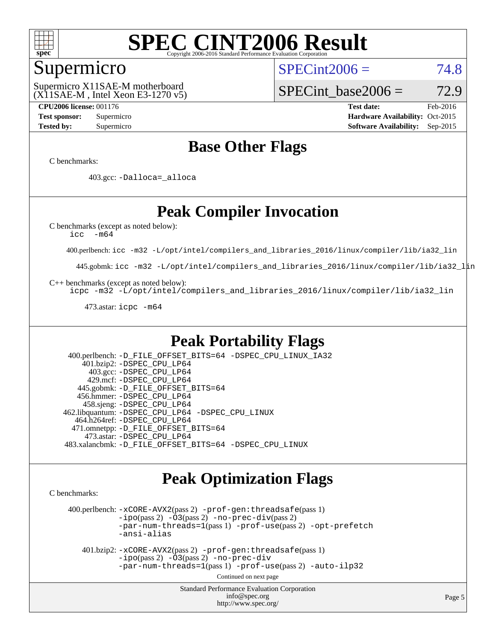

### Supermicro

 $SPECint2006 = 74.8$  $SPECint2006 = 74.8$ 

(X11SAE-M , Intel Xeon E3-1270 v5) Supermicro X11SAE-M motherboard

SPECint base2006 =  $72.9$ 

**[CPU2006 license:](http://www.spec.org/auto/cpu2006/Docs/result-fields.html#CPU2006license)** 001176 **[Test date:](http://www.spec.org/auto/cpu2006/Docs/result-fields.html#Testdate)** Feb-2016 **[Test sponsor:](http://www.spec.org/auto/cpu2006/Docs/result-fields.html#Testsponsor)** Supermicro Supermicro **[Hardware Availability:](http://www.spec.org/auto/cpu2006/Docs/result-fields.html#HardwareAvailability)** Oct-2015 **[Tested by:](http://www.spec.org/auto/cpu2006/Docs/result-fields.html#Testedby)** Supermicro **Supermicro [Software Availability:](http://www.spec.org/auto/cpu2006/Docs/result-fields.html#SoftwareAvailability)** Sep-2015

### **[Base Other Flags](http://www.spec.org/auto/cpu2006/Docs/result-fields.html#BaseOtherFlags)**

[C benchmarks](http://www.spec.org/auto/cpu2006/Docs/result-fields.html#Cbenchmarks):

403.gcc: [-Dalloca=\\_alloca](http://www.spec.org/cpu2006/results/res2016q1/cpu2006-20160206-38983.flags.html#b403.gcc_baseEXTRA_CFLAGS_Dalloca_be3056838c12de2578596ca5467af7f3)

## **[Peak Compiler Invocation](http://www.spec.org/auto/cpu2006/Docs/result-fields.html#PeakCompilerInvocation)**

[C benchmarks \(except as noted below\)](http://www.spec.org/auto/cpu2006/Docs/result-fields.html#Cbenchmarksexceptasnotedbelow):

[icc -m64](http://www.spec.org/cpu2006/results/res2016q1/cpu2006-20160206-38983.flags.html#user_CCpeak_intel_icc_64bit_f346026e86af2a669e726fe758c88044)

400.perlbench: [icc -m32 -L/opt/intel/compilers\\_and\\_libraries\\_2016/linux/compiler/lib/ia32\\_lin](http://www.spec.org/cpu2006/results/res2016q1/cpu2006-20160206-38983.flags.html#user_peakCCLD400_perlbench_intel_icc_e10256ba5924b668798078a321b0cb3f)

445.gobmk: [icc -m32 -L/opt/intel/compilers\\_and\\_libraries\\_2016/linux/compiler/lib/ia32\\_lin](http://www.spec.org/cpu2006/results/res2016q1/cpu2006-20160206-38983.flags.html#user_peakCCLD445_gobmk_intel_icc_e10256ba5924b668798078a321b0cb3f)

[C++ benchmarks \(except as noted below\):](http://www.spec.org/auto/cpu2006/Docs/result-fields.html#CXXbenchmarksexceptasnotedbelow)

[icpc -m32 -L/opt/intel/compilers\\_and\\_libraries\\_2016/linux/compiler/lib/ia32\\_lin](http://www.spec.org/cpu2006/results/res2016q1/cpu2006-20160206-38983.flags.html#user_CXXpeak_intel_icpc_b4f50a394bdb4597aa5879c16bc3f5c5)

473.astar: [icpc -m64](http://www.spec.org/cpu2006/results/res2016q1/cpu2006-20160206-38983.flags.html#user_peakCXXLD473_astar_intel_icpc_64bit_fc66a5337ce925472a5c54ad6a0de310)

### **[Peak Portability Flags](http://www.spec.org/auto/cpu2006/Docs/result-fields.html#PeakPortabilityFlags)**

 400.perlbench: [-D\\_FILE\\_OFFSET\\_BITS=64](http://www.spec.org/cpu2006/results/res2016q1/cpu2006-20160206-38983.flags.html#user_peakPORTABILITY400_perlbench_file_offset_bits_64_438cf9856305ebd76870a2c6dc2689ab) [-DSPEC\\_CPU\\_LINUX\\_IA32](http://www.spec.org/cpu2006/results/res2016q1/cpu2006-20160206-38983.flags.html#b400.perlbench_peakCPORTABILITY_DSPEC_CPU_LINUX_IA32) 401.bzip2: [-DSPEC\\_CPU\\_LP64](http://www.spec.org/cpu2006/results/res2016q1/cpu2006-20160206-38983.flags.html#suite_peakPORTABILITY401_bzip2_DSPEC_CPU_LP64) 403.gcc: [-DSPEC\\_CPU\\_LP64](http://www.spec.org/cpu2006/results/res2016q1/cpu2006-20160206-38983.flags.html#suite_peakPORTABILITY403_gcc_DSPEC_CPU_LP64) 429.mcf: [-DSPEC\\_CPU\\_LP64](http://www.spec.org/cpu2006/results/res2016q1/cpu2006-20160206-38983.flags.html#suite_peakPORTABILITY429_mcf_DSPEC_CPU_LP64) 445.gobmk: [-D\\_FILE\\_OFFSET\\_BITS=64](http://www.spec.org/cpu2006/results/res2016q1/cpu2006-20160206-38983.flags.html#user_peakPORTABILITY445_gobmk_file_offset_bits_64_438cf9856305ebd76870a2c6dc2689ab) 456.hmmer: [-DSPEC\\_CPU\\_LP64](http://www.spec.org/cpu2006/results/res2016q1/cpu2006-20160206-38983.flags.html#suite_peakPORTABILITY456_hmmer_DSPEC_CPU_LP64) 458.sjeng: [-DSPEC\\_CPU\\_LP64](http://www.spec.org/cpu2006/results/res2016q1/cpu2006-20160206-38983.flags.html#suite_peakPORTABILITY458_sjeng_DSPEC_CPU_LP64) 462.libquantum: [-DSPEC\\_CPU\\_LP64](http://www.spec.org/cpu2006/results/res2016q1/cpu2006-20160206-38983.flags.html#suite_peakPORTABILITY462_libquantum_DSPEC_CPU_LP64) [-DSPEC\\_CPU\\_LINUX](http://www.spec.org/cpu2006/results/res2016q1/cpu2006-20160206-38983.flags.html#b462.libquantum_peakCPORTABILITY_DSPEC_CPU_LINUX) 464.h264ref: [-DSPEC\\_CPU\\_LP64](http://www.spec.org/cpu2006/results/res2016q1/cpu2006-20160206-38983.flags.html#suite_peakPORTABILITY464_h264ref_DSPEC_CPU_LP64) 471.omnetpp: [-D\\_FILE\\_OFFSET\\_BITS=64](http://www.spec.org/cpu2006/results/res2016q1/cpu2006-20160206-38983.flags.html#user_peakPORTABILITY471_omnetpp_file_offset_bits_64_438cf9856305ebd76870a2c6dc2689ab) 473.astar: [-DSPEC\\_CPU\\_LP64](http://www.spec.org/cpu2006/results/res2016q1/cpu2006-20160206-38983.flags.html#suite_peakPORTABILITY473_astar_DSPEC_CPU_LP64) 483.xalancbmk: [-D\\_FILE\\_OFFSET\\_BITS=64](http://www.spec.org/cpu2006/results/res2016q1/cpu2006-20160206-38983.flags.html#user_peakPORTABILITY483_xalancbmk_file_offset_bits_64_438cf9856305ebd76870a2c6dc2689ab) [-DSPEC\\_CPU\\_LINUX](http://www.spec.org/cpu2006/results/res2016q1/cpu2006-20160206-38983.flags.html#b483.xalancbmk_peakCXXPORTABILITY_DSPEC_CPU_LINUX)

### **[Peak Optimization Flags](http://www.spec.org/auto/cpu2006/Docs/result-fields.html#PeakOptimizationFlags)**

[C benchmarks](http://www.spec.org/auto/cpu2006/Docs/result-fields.html#Cbenchmarks):

 400.perlbench: [-xCORE-AVX2](http://www.spec.org/cpu2006/results/res2016q1/cpu2006-20160206-38983.flags.html#user_peakPASS2_CFLAGSPASS2_LDCFLAGS400_perlbench_f-xAVX2_5f5fc0cbe2c9f62c816d3e45806c70d7)(pass 2) [-prof-gen:threadsafe](http://www.spec.org/cpu2006/results/res2016q1/cpu2006-20160206-38983.flags.html#user_peakPASS1_CFLAGSPASS1_LDCFLAGS400_perlbench_prof_gen_21a26eb79f378b550acd7bec9fe4467a)(pass 1)  $-i\text{po}(pass 2) -\tilde{O}3(pass 2)$  [-no-prec-div](http://www.spec.org/cpu2006/results/res2016q1/cpu2006-20160206-38983.flags.html#user_peakPASS2_CFLAGSPASS2_LDCFLAGS400_perlbench_f-no-prec-div)(pass 2) [-par-num-threads=1](http://www.spec.org/cpu2006/results/res2016q1/cpu2006-20160206-38983.flags.html#user_peakPASS1_CFLAGSPASS1_LDCFLAGS400_perlbench_par_num_threads_786a6ff141b4e9e90432e998842df6c2)(pass 1) [-prof-use](http://www.spec.org/cpu2006/results/res2016q1/cpu2006-20160206-38983.flags.html#user_peakPASS2_CFLAGSPASS2_LDCFLAGS400_perlbench_prof_use_bccf7792157ff70d64e32fe3e1250b55)(pass 2) [-opt-prefetch](http://www.spec.org/cpu2006/results/res2016q1/cpu2006-20160206-38983.flags.html#user_peakCOPTIMIZE400_perlbench_f-opt-prefetch) [-ansi-alias](http://www.spec.org/cpu2006/results/res2016q1/cpu2006-20160206-38983.flags.html#user_peakCOPTIMIZE400_perlbench_f-ansi-alias)

 401.bzip2: [-xCORE-AVX2](http://www.spec.org/cpu2006/results/res2016q1/cpu2006-20160206-38983.flags.html#user_peakPASS2_CFLAGSPASS2_LDCFLAGS401_bzip2_f-xAVX2_5f5fc0cbe2c9f62c816d3e45806c70d7)(pass 2) [-prof-gen:threadsafe](http://www.spec.org/cpu2006/results/res2016q1/cpu2006-20160206-38983.flags.html#user_peakPASS1_CFLAGSPASS1_LDCFLAGS401_bzip2_prof_gen_21a26eb79f378b550acd7bec9fe4467a)(pass 1)  $-i\text{po}(pass 2) -\overline{O}3(pass 2)$  [-no-prec-div](http://www.spec.org/cpu2006/results/res2016q1/cpu2006-20160206-38983.flags.html#user_peakCOPTIMIZEPASS2_CFLAGSPASS2_LDCFLAGS401_bzip2_f-no-prec-div) [-par-num-threads=1](http://www.spec.org/cpu2006/results/res2016q1/cpu2006-20160206-38983.flags.html#user_peakPASS1_CFLAGSPASS1_LDCFLAGS401_bzip2_par_num_threads_786a6ff141b4e9e90432e998842df6c2)(pass 1) [-prof-use](http://www.spec.org/cpu2006/results/res2016q1/cpu2006-20160206-38983.flags.html#user_peakPASS2_CFLAGSPASS2_LDCFLAGS401_bzip2_prof_use_bccf7792157ff70d64e32fe3e1250b55)(pass 2) [-auto-ilp32](http://www.spec.org/cpu2006/results/res2016q1/cpu2006-20160206-38983.flags.html#user_peakCOPTIMIZE401_bzip2_f-auto-ilp32)

Continued on next page

Standard Performance Evaluation Corporation [info@spec.org](mailto:info@spec.org) <http://www.spec.org/>

Page 5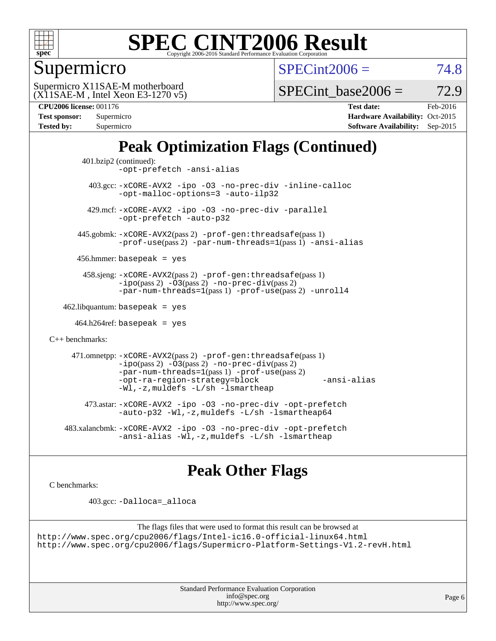

Supermicro

 $SPECint2006 = 74.8$  $SPECint2006 = 74.8$ 

(X11SAE-M , Intel Xeon E3-1270 v5) Supermicro X11SAE-M motherboard

SPECint base2006 =  $72.9$ 

**[CPU2006 license:](http://www.spec.org/auto/cpu2006/Docs/result-fields.html#CPU2006license)** 001176 **[Test date:](http://www.spec.org/auto/cpu2006/Docs/result-fields.html#Testdate)** Feb-2016

| Test sponsor:<br><b>Tested by:</b> | Supermicro |
|------------------------------------|------------|
|                                    | Supermicro |

**[Hardware Availability:](http://www.spec.org/auto/cpu2006/Docs/result-fields.html#HardwareAvailability)** Oct-2015 **[Software Availability:](http://www.spec.org/auto/cpu2006/Docs/result-fields.html#SoftwareAvailability)** Sep-2015

## **[Peak Optimization Flags \(Continued\)](http://www.spec.org/auto/cpu2006/Docs/result-fields.html#PeakOptimizationFlags)**

```
 401.bzip2 (continued):
                -opt-prefetch -ansi-alias
          403.gcc: -xCORE-AVX2 -ipo -O3 -no-prec-div -inline-calloc
                -opt-malloc-options=3 -auto-ilp32
         429.mcf: -xCORE-AVX2 -ipo -O3 -no-prec-div -parallel
                -opt-prefetch -auto-p32
       445.gobmk: -xCORE-AVX2(pass 2) -prof-gen:threadsafe(pass 1)
                -prof-use(pass 2) -par-num-threads=1(pass 1) -ansi-alias
       456.hmmer: basepeak = yes
        458.sjeng: -xCORE-AVX2(pass 2) -prof-gen:threadsafe(pass 1)
                -i\text{po}(pass 2) -\tilde{O}3(pass 2)-no-prec-div(pass 2)
                -par-num-threads=1(pass 1) -prof-use(pass 2) -unroll4
   462.libquantum: basepeak = yes
     464.h264ref: basepeak = yes
C++ benchmarks: 
      471.omnetpp: -xCORE-AVX2(pass 2) -prof-gen:threadsafe(pass 1)
                -i\text{po}(pass 2) -\overline{O}3(pass 2) -no-\overline{prec}\-div(pass 2)-par-num-threads=1(pass 1) -prof-use(pass 2)
                -opt-ra-region-strategy=block -ansi-alias
                -Wl,-z,muldefs -L/sh -lsmartheap
         473.astar: -xCORE-AVX2 -ipo -O3 -no-prec-div -opt-prefetch
                -auto-p32 -Wl,-z,muldefs -L/sh -lsmartheap64
    483.xalancbmk: -xCORE-AVX2 -ipo -O3 -no-prec-div -opt-prefetch
                -ansi-alias -Wl,-z,muldefs -L/sh -lsmartheap
```
### **[Peak Other Flags](http://www.spec.org/auto/cpu2006/Docs/result-fields.html#PeakOtherFlags)**

[C benchmarks](http://www.spec.org/auto/cpu2006/Docs/result-fields.html#Cbenchmarks):

403.gcc: [-Dalloca=\\_alloca](http://www.spec.org/cpu2006/results/res2016q1/cpu2006-20160206-38983.flags.html#b403.gcc_peakEXTRA_CFLAGS_Dalloca_be3056838c12de2578596ca5467af7f3)

```
The flags files that were used to format this result can be browsed at
http://www.spec.org/cpu2006/flags/Intel-ic16.0-official-linux64.html
http://www.spec.org/cpu2006/flags/Supermicro-Platform-Settings-V1.2-revH.html
```
Standard Performance Evaluation Corporation [info@spec.org](mailto:info@spec.org) <http://www.spec.org/>